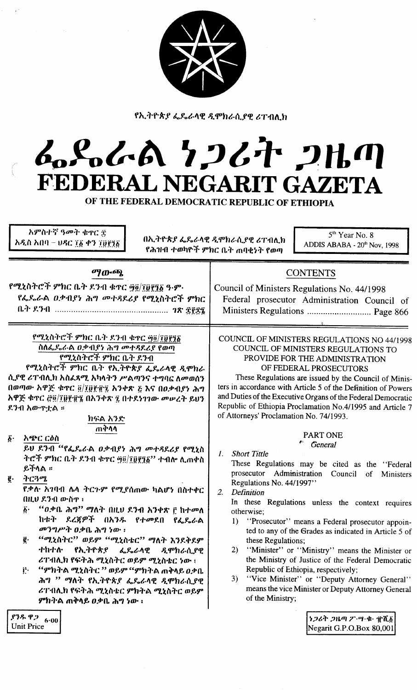

ίú,

 $\mathcal{A}_{\mathcal{A}}$ 

የኢትዮጵያ ፌዴራላዊ ዲሞክራሲያዊ ሪፐብሊክ

# ふらんあ りつびれ 2出の FEDERAL NEGARIT GAZETA

OF THE FEDERAL DEMOCRATIC REPUBLIC OF ETHIOPIA

| አምስተኛ ዓመት ቁዋር ቿ<br>አዲስ አበባ – ህዳር ፲፩ ቀን ፲፱፻፺፩                                                                                                                                                                                                                                                                                                                                                                                                                                                                                                               | $5th$ Year No. 8<br>በኢትዮጵያ ፌዴራላዊ ዲሞክራሲያዊ ሪፐብሊክ<br>ADDIS ABABA - 20th Nov, 1998<br>የሕዝብ ተወካዮች ምክር ቤት ጠባቂነት የወጣ                                                                                                                                                                                                                                                                                                                                                                                                                                                                                                                                                                                                |
|------------------------------------------------------------------------------------------------------------------------------------------------------------------------------------------------------------------------------------------------------------------------------------------------------------------------------------------------------------------------------------------------------------------------------------------------------------------------------------------------------------------------------------------------------------|--------------------------------------------------------------------------------------------------------------------------------------------------------------------------------------------------------------------------------------------------------------------------------------------------------------------------------------------------------------------------------------------------------------------------------------------------------------------------------------------------------------------------------------------------------------------------------------------------------------------------------------------------------------------------------------------------------------|
| <b>ማውጫ</b><br>የሚኒስትሮች ምክር ቤት ደንብ ቁተር ፵፬/፲፱፻፺፩ ዓ·ም·<br>የፌዶራል ዐቃብያነ ሕግ መተጻደሪያ የሚኒስትሮች ምክር                                                                                                                                                                                                                                                                                                                                                                                                                                                                    | <b>CONTENTS</b><br>Council of Ministers Regulations No. 44/1998<br>Federal prosecutor Administration Council of<br>Ministers Regulations  Page 866                                                                                                                                                                                                                                                                                                                                                                                                                                                                                                                                                           |
| የሚኒስትሮች ምክር ቤት ደንብ ቁዋር ፵፬/፲፬፻፺፩<br>ስሰፌዶራል ዐቃብያነ ሕግ መተዳደሪያ የወጣ<br>የሚኒስትሮች ምክር ቤት ደንብ<br>የሚኒስትሮች ምክር ቤት የኢትዮጵያ ፌዴራላዊ ዲሞክራ<br>ሲያዊ ሪፐብሊክ አስፈጻሚ አካላትን ሥልጣንና ተግባር ለመወሰን<br>በወጣው አዋጅ ቁጥር ፬/፲፬፻፹፯ አንቀጽ ፩ እና በዐቃብያነ ሕግ<br>አዋጅ ቁጥር @@/፲፱፻፹፮ በአንቅጽ ፯ በተደነገገው መሠረት ይህን<br>ደንብ አውዋቷል ።<br>ክፍል አንድ                                                                                                                                                                                                                                                                       | COUNCIL OF MINISTERS REGULATIONS NO 44/1998<br>COUNCIL OF MINISTERS REGULATIONS TO<br>PROVIDE FOR THE ADMINISTRATION<br>OF FEDERAL PROSECUTORS<br>These Regulations are issued by the Council of Minis-<br>ters in accordance with Article 5 of the Definition of Powers<br>and Duties of the Executive Organs of the Federal Democratic<br>Republic of Ethiopia Proclamation No.4/1995 and Article 7<br>of Attorneys' Proclamation No. 74/1993.                                                                                                                                                                                                                                                             |
| ጠቅሳሳ<br>$\vec{b}$ .<br>አጭር ርዕስ<br>ይህ ደንብ "የፌዴራል ዐቃብያነ ሕግ መተጻደሪያ የሚኒስ<br>ትሮች ምክር ቤት ደንብ ቁተር ፵፬/፲፬፻፺፩'' ተብሎ ሊጠቀስ<br>ይችላል።<br>ትርጓሜ<br>ĝ.<br>የቃሉ አገባብ ሌላ ትርጉም የሚያሰጠው ካልሆነ በስተቀር<br>በዚህ ደንብ ውስዋ ፡<br>፩· "ወቃቤ ሕግ" ማለት በዚህ ደንብ አንቀጽ ፫ ከተመለ<br>ከቱት ደረጃዎች በአንዱ የተመደበ የፌዴራል<br>መንግሥት ዐቃቤ ሕግ ነው ፡<br>"ሚኒስትር" ወይም "ሚኒስቴር" ማለት እንደቅደም<br>ĝ.<br>ተከተሰ· የኢትዮጵያ ፌዴራላዊ<br>ዲሞክራሲያዊ<br>ሪፐብሊክ የፍትሕ ሚኒስትር ወይም ሚኒስቴር ነው ፣<br>'''ምክትል ሚኒስትር '' ወይም ''ምክትል ጠቅላይ ዐቃቤ<br>$\mathbf{i}$ .<br>ሕግ '' ማለት የኢትዮጵያ ፌዴራላዊ ዲሞክራሲያዊ<br>ሪፐብሊክ የፍትሕ ሚኒስቴር ምክትል ሚኒስትር ወይም<br>ምክትል ጠቅላይ ዐቃቤ ሕግ ነው ፡ | <b>PART ONE</b><br>General<br><b>Short Tittle</b><br>1.<br>These Regulations may be cited as the "Federal<br>prosecutor Administration Council<br>of<br>Ministers<br>Regulations No. 44/1997"<br>2.<br>Definition<br>In these Regulations unless the context requires<br>otherwise;<br>1) "Prosecutor" means a Federal prosecutor appoin-<br>ted to any of the Grades as indicated in Article 5 of<br>these Regulations;<br>"Minister" or "Ministry" means the Minister or<br>2)<br>the Ministry of Justice of the Federal Democratic<br>Republic of Ethiopia, respectively;<br>"Vice Minister" or "Deputy Attorney General"<br>3)<br>means the vice Minister or Deputy Attorney General<br>of the Ministry; |
| ደንዱ ዋጋ<br>6.00<br><b>Unit Price</b>                                                                                                                                                                                                                                                                                                                                                                                                                                                                                                                        | ነጋሪት ጋዜጣ ፖ・ሣ・ቁ・ ぜሺ፩<br>Negarit G.P.O.Box 80,001                                                                                                                                                                                                                                                                                                                                                                                                                                                                                                                                                                                                                                                              |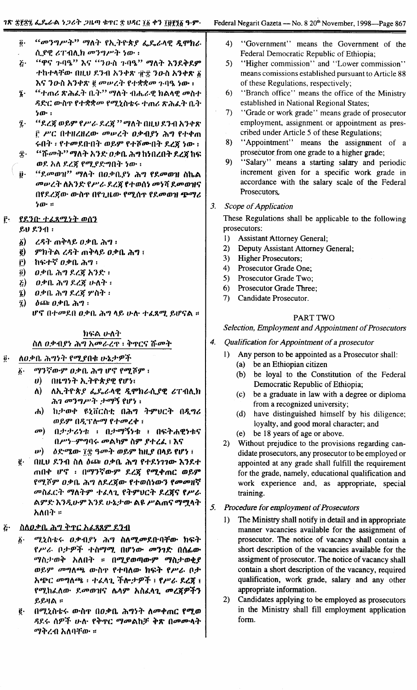"መንግሥት" ማለት የኢትዮጵያ ፌዴራሳዊ ዲሞክራ  $\overline{0}$ . ሲያዊ ሪፐብሊክ መንግሥት ነው ፡ "ዋና ጉባዔ" እና "ንውስ ጉባዔ" ማለት እንደቅደም  $\ddot{\bm{\zeta}}$ ተከተላቸው በዚህ ደንብ አንቀጽ ፹፰ ንውስ አንቀጽ ፩ እና ንዑስ አንቀጽ ፪ መሠረት የተቋቋመ ጉባዔ ነው : "ተጠሪ ጽሕፈት ቤት" ማለት ብሔራዊ ክልላዊ መስተ  $\ddot{\mathbf{z}}$  . ዳድር ውስዋ የተቋቋመ የሚኒስቴሩ ተጠሪ ጽሕፈት ቤት  $b$ . "ደረጃ ወይም የሥራ ደረጃ '' ማለት በዚህ ደንብ አንቀጽ  $\tilde{\mathbf{z}}$ . ፫ ሥር በተዘረዘረው መሠረት ዐቃብያነ ሕግ የተቀጠ ሩበት ፡ የተመደበብት ወይም የተሾሙበት ደረጃ ነው ፡ *''ሹመት'' ማ*ለት አንድ ወቃቤ ሕግ ከነበረበት ደረጃ ከፍ £٠ ወደ አለ ደረጀ የሚደድግበት ነው ፡ "ደመወገା" ማለት በዐቃቤያነ ሕግ የደመወዝ ስኬል ij٠ መሥረት ስአንድ የሥራ ደረጀ የተወሰነ መነሻ ደመወዝና በየደረጃው ውስጥ በየጊዜው የሚሰጥ የደመወዝ ጭማሪ  $50:$  $3.$ የደንበ ተፈጸሚነት ወሰን  $\mathbf{r}$  $80$   $831$ :  $\vec{\omega}$ ረዳት ጠቅላይ ዐቃቤ ሕግ ፡ ምክትል ረዳት ጠቅላይ ዐቃቤ ሕግ ፣  $\hat{\mathbf{e}}$ ከፍተኛ ዐቃቤ ሕግ ፡  $\hat{\mathbf{r}}$  $\vec{\mathbf{0}}$ ዐቃቤ ሕግ ደረጃ አንድ ፡  $\boldsymbol{E}$ ወቃቤ ሕግ ደረጃ ሁለት ፡  $\tilde{a}$ ዐቃቤ ሕግ ደረጀ ሦስት ፡  $\delta$ ጨ  $\theta$ ቃቤ ሕግ ፡  $\hat{z}$ ሆኖ በተመደበ ዐቃቤ ሕግ ላይ ሁሉ ተፈጸሚ ይሆናል ።

# ክፍል ሁለት ስለ ዐቃብያነ ሕግ አመራረዋ ፣ ቅዋርና ሹመት

ለዐቃቤ ሕግነት የሚያበቁ ሁኔታዎች  $\vec{0}$  .

 $\ddot{b}$ .

- ማንኛውም ዐቃቤ ሕግ ሆኖ የሚሾም ፣
	- $\boldsymbol{\theta}$ በዜግንት ኢትዮጵያዊ የሆነ፤
	- $\Lambda$ ለኢትዮጵያ ፌዴራላዊ ዲሞክራሲያዊ ሪፐብሊክ ሕገ መንግሥት ታማኝ የሆነ ፡
	- ከታወቀ ዩኒቨርስቲ በሕግ ትምሀርት በዲግሪ ሐ) ወይም በዲፕሎማ የተመረቀ :
	- $\sigma$ <sup>o</sup>)  $0.22224 + 0.29314 + 0.0624214$ በሥነ-ምግባሩ መልካም ስም ያተረፈ ፣ እና
- ዕድሜው ፲፰ ዓመት ወይም ከዚያ በላይ የሆነ ፣  $\boldsymbol{w}$
- በዚህ ደንብ ስለ ዕጮ ዐቃቤ ሕግ የተደነገገው እንደተ ġ. ጠበቀ ሆኖ ፡ በማንኛውም ደረጃ የሚቀጠር ወይም የሚሾም ዐቃቤ ሕግ ለደረጃው የተወሰነውን የመመዘኛ መስፌርት ማለትም ተፌሳጊ የትምህርት ደረጀና የሥራ ልምድ እንዲሁም እንደ ሁኔታው ልዩ ሥልጠና ማሟላት አለበት ፡፡
- ስለዐቃቤ ሕግ ቅተር አፈጻጸም ደንብ  $\ddot{G}$ 
	- ሚኒስቴሩ ዐቃብያነ ሕግ ስለሚመደቡባቸው ክፍት  $\ddot{b}$ . የሥራ ቦታዎች ተስማሚ በሆነው መንገድ በሰፊው ማስታወቅ አለበት ። በሚያወጣውም ማስታወቂያ ወይም መግለጫ ውስጥ የተባለው ክፍት የሥራ ቦታ አጭር መግለጫ ፡ ተፈላጊ ችሎታዎች ፣ የሥራ ደረጀ ፤ የሚከፌለው ደመወዝና ሴላም አስፌላጊ መረጃዎችን ይይዛል።
	- በሚኒስቴሩ ውስኖ በዐቃቤ ሕግነት ለመቀጠር የሚወ ġ. ዳደሩ ሰዎች ሁለ የቅጥር ማመልከቻ ቅጽ በመሙላት ማቅረብ አለባቸው ።
- $4)$ "Government" means the Government of the Federal Democratic Republic of Ethiopia;
- "Higher commission" and "Lower commission"  $5)$ means comissions established pursuant to Article 88 of these Regulations, respectively;
- $6)$ "Branch office" means the office of the Ministry established in National Regional States;
- $7)$ "Grade or work grade" means grade of prosecutor employment, assignment or appointment as prescribed under Article 5 of these Regulations;
- "Appointment" means the assignment of a 8) prosecutor from one grade to a higher grade;
- $9)$ "Salary" means a starting salary and periodic increment given for a specific work grade in accordance with the salary scale of the Federal Prosecutors.
- Scope of Application

These Regulations shall be applicable to the following prosecutors:

- $1)$ **Assistant Attorney General:**
- $2)$ Deputy Assistant Attorney General:
- $3)$ **Higher Prosecutors;**
- 4) Prosecutor Grade One;
- 5) Prosecutor Grade Two:
- 6) Prosecutor Grade Three:
- $7)$ Candidate Prosecutor.

# **PART TWO**

### Selection, Employment and Appointment of Prosecutors

- $\boldsymbol{4}$ . Qualification for Appointment of a prosecutor
	- $\mathbf{D}$ Any person to be appointed as a Prosecutor shall:
		- (a) be an Ethiopian citizen
		- (b) be loyal to the Constitution of the Federal Democratic Republic of Ethiopia;
		- be a graduate in law with a degree or diploma  $(c)$ from a recognized university;
		- $(d)$ have distinguished himself by his diligence; loyalty, and good moral character; and
		- be 18 years of age or above.  $(e)$
	- 2) Without prejudice to the provisions regarding candidate prosecutors, any prosecutor to be employed or appointed at any grade shall fulfill the requirement for the grade, namely, educational qualification and work experience and, as appropriate, special training.
- 5. Procedure for employment of Prosecutors
	- $1)$ The Ministry shall notify in detail and in appropriate manner vacancies available for the assignment of prosecutor. The notice of vacancy shall contain a short description of the vacancies available for the assigment of prosecutor. The notice of vacancy shall contain a short description of the vacancy, required qualification, work grade, salary and any other appropriate information.
	- $2)$ Candidates applying to be employed as prosecutors in the Ministry shall fill employment application form.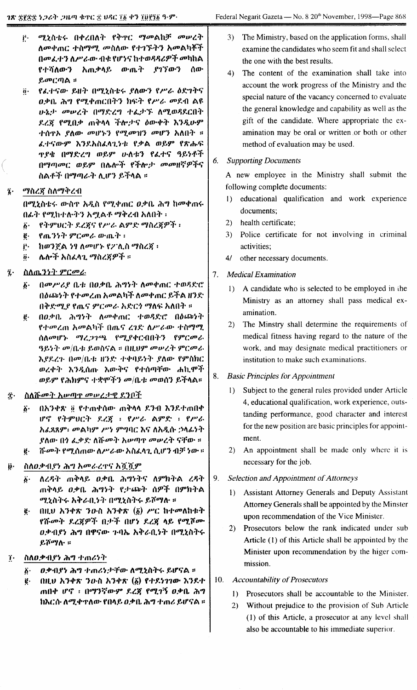- ሚኒስቴሩ በቀረበለት የቅዋር ማመልከቻ መሠረት Ë۰ ለመቀጠር ተስማሚ መስለው የተገኙትን አመልካቾች በመፌተን ለሥራው ብቁ የሆነና ከተወዳዳሪዎች መካከል የተሻለውን አጠቃላይ ውጤት ያገኘውን ሰው  $\mathcal{L}$ መርጣል።
- የፌተናው ይዘት በሚኒስቴሩ ያለውን የሥራ ዕድገትና  $\ddot{\mathbf{0}}$ . *ዐ*ቃቤ ሕግ የሚቀጠርበትን ክፍት የሥራ መደብ ልዩ ሁኔታ መሠረት በማድረግ ተፌታኙ ለሚወዳደርበት ደረጀ የሚበቃ ጠቅላላ ችሎታና ዕውቀት እንዲሁም ተሰዋኦ ያለው *መሆኑን የሚመዝን መ*ሆን አለበት ፡፡ ፌተናውም እንደአስፌላጊነቱ የቃል ወይም የጽሑፍ <u>ዋደቄ በማድረግ ወይም ሁለቱን የፌተና ዓይነቶች</u> በማጣመር ወይም በሌሎች የችሎታ መመዘኛዎችና ስልቶች በማጣራት ሊሆን ይችላል ።
- *ማ*ስረጀ ስለማቅረብ  $\ddot{\mathbf{z}}$ .

በሚኒስቴሩ ውስዋ አዲስ የሚቀጠር ዐቃቤ ሕግ ከመቀጠሩ በፊት የሚከተሉትን አሟልቶ ማቅረብ አለበት ፡

- የትምህርት ደረጀና የሥራ ልምድ ማስረጀዎች ፡  $\vec{b}$ .
- የጤንነት ምርመራ ውጤት ፡  $\ddot{e}$ .
- ከወንጀል ነፃ ለመሆኑ የፖሊስ ማስረጃ ፡ ŕ٠.
- ሌሎች አስፈላጊ ማስረጀዎች ።  $\ddot{\mathbf{0}}$ .
- ስለዉንንት ምርመራ  $\vec{a}$ .
	- በመሥሪያ ቤቱ በዐቃቤ ሕግነት ለመቀጠር ተወዳድሮ  $\boldsymbol{\delta}$ . በዕጨነት የተመረጠ አመልካች ለመቀጠር ይችል ዘንድ በቅድሚያ የሔና ምርመራ አድርጎ ማለፍ አለበት ።
	- በዐቃቤ ሕግነት ለመቀጠር ተወዳድሮ በዕጩነት  $\vec{e}$ . የተመረጠ አመልካች በጤና ረገድ ለሥራው ተስማሚ ስለመሆኑ ማረጋገጫ የሚያቀርብበትን የምርመራ ዓይነት መ/ቤቱ ይወስናል ፡፡ በዚህም መሠረት ምርመራ እያደረጉ በመ/ቤቱ ዘንድ ተቀባይነት ያለው የምስክር ወረቀት እንዲሰጡ እውቅና የተሰጣቸው ሐኪሞች ወይም የሕክምና ተቋሞችን መ/ቤቱ መወሰን ይችላል።
- ስለሹመት አሠጣዋ መሠረታዊ ደንቦች  $\ddot{\mathbf{r}}$ .
	- $\ddot{\delta}$ . በአንቀጽ ፬ የተጠቀሰው ጠቅላላ ደንብ እንደተጠበቀ ሆኖ የትምህርት ደረጃ ፡ የሥራ ልምድ ፡ የሥራ አፈጸጸም፡ መልካም ሥነ ምግባር እና ለአዲሱ ኃላፊነት ያለው በ*ጎ ፌ*ቃደ ለሹ*መት* አሥጣዋ መሥረት ናቸው ። ሹመት የሚሰጠው ስሥራው አስፌሳጊ ሲሆን ብቻ ነው ። ë.
- ስለዐቃብያነ ሕግ አመራረዋና አሿሿም ij.
	- ለረዳት ጠቅላይ ዐቃቤ ሕግነትና ለምክትል ረዳት  $\ddot{\delta}$ ጠቅላይ ዐቃቤ ሕግነት የታጩት ሰዎች በምክትል ሚኒስትሩ አቅራቢነት በሚኒስትሩ ይሾማሉ ።
	- $(0)$   $(1)$   $(1)$   $(2)$   $(3)$   $(3)$   $(4)$   $(5)$   $(5)$   $(6)$   $(7)$   $(7)$   $(8)$   $(1)$   $(1)$   $(1)$   $(1)$   $(1)$   $(1)$   $(1)$   $(1)$   $(1)$   $(1)$   $(1)$   $(1)$   $(1)$   $(1)$   $(1)$   $(1)$   $(1)$   $(1)$   $(1)$   $(1)$   $(1)$   $(1)$   $(1)$   $(1)$ ë. የሹመት ደረጃዎች በታች በሆነ ደረጃ ላይ የሚሾሙ *ዐ.*ቃብያነ ሕግ በዋናው ጉባኤ አቅራቢነት በሚኒስትሩ ይሾማሉ ።
- ስለወቃብያን ሕግ ተጠሪነት ï.
	- ዐቃብያነ ሕግ ተጠሪነታቸው ለሚኒስትሩ ይሆናል ።  $\ddot{\theta}$ .
	- $0$ ዚህ አንቀጽ ንውስ አንቀጽ  $(\tilde{\beta})$  የተደነገገው እንደተ ë. ጠበቀ ሆኖ ፡ በማንኛውም ደረጃ የሚገኝ ዐቃቤ ሕግ ከእርሱ ለሚቀጥለው የበላይ ዐቃቤ ሕግ ተጠሪ ይሆናል ።
- The Mimistry, based on the application forms, shall  $3)$ examine the candidates who seem fit and shall select the one with the best results.
- $4)$ The content of the examination shall take into account the work progress of the Ministry and the special nature of the vacancy concerned to evaluate the general knowledge and capability as well as the gift of the candidate. Where appropriate the examination may be oral or written or both or other method of evaluation may be used.
- **Supporting Documents** 6.

A new employee in the Ministry shall submit the following complete documents:

- educational qualification and work experience  $\mathbf{D}$ documents;
- health certificate;  $(2)$
- 3) Police certificate for not involving in criminal activities;
- 4/ other necessary documents.
- $7.$ **Medical Examination** 
	- 1) A candidate who is selected to be employed in the Ministry as an attorney shall pass medical examination.
	- $2)$ The Minstry shall determine the requirements of medical fitness having regard to the nature of the work, and may designate medical practitioners or institution to make such examinations.
- **Basic Principles for Appointment** 8.
	- Subject to the general rules provided under Article  $1)$ 4, educational qualification, work experience, outstanding performance, good character and interest for the new position are basic principles for appointment.
	- 2) An appointment shall be made only where it is necessary for the job.
- Selection and Appointment of Attorneys 9.
	- **Assistant Attorney Generals and Deputy Assistant**  $1)$ Attorney Generals shall be appointed by the Minster upon recommendation of the Vice Minister.
	- Prosecutors below the rank indicated under sub  $(2)$ Article (1) of this Article shall be appointed by the Minister upon recommendation by the higer commission.
- $10.$ **Accountability of Prosecutors** 
	- 1) Prosecutors shall be accountable to the Minister.
	- Without prejudice to the provision of Sub Article  $2)$ (1) of this Article, a prosecutor at any level shall also be accountable to his immediate superior.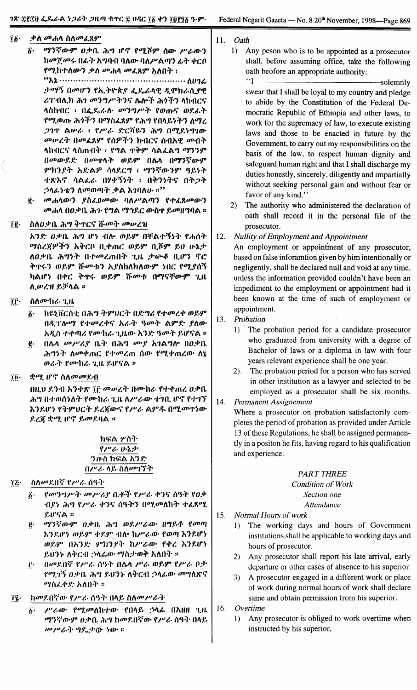- 76. ቃለ *መ*ሐሳ ስለመፈጸም
	- ማንኛውም ዐቃቤ ሕግ ሆኖ የሚሾም ሰው ሥራውን  $\boldsymbol{\hat{b}}$ . ከመጀመሩ በፊት አግባብ ባለው ባለሥልጣን ፊት ቀርቦ የሚከተለውን ቃለ መሐላ መፈጸም አለበት ፣

ታማኝ በመሆን የኢትዮጵያ ፌዴራላዊ ዲሞክራሲያዊ ሪፐብሊክ ሕን መንግሥትንና ሌሎች ሕጎችን ላከብርና ላስከብር ፡ በፌዴራሉ መንግሥት የወጡና ወደፊት የሚወጡ ሕጎችን በማስፈጸም የሕግ የበላይነትን ለማረ *ጋገ*ጥ ልሥራ ፥ የሥራ ድርሻዬን ሕግ በሚደነግገው መሥረት በመሬጸም የሰዎችን ክብርና ሰብአዊ መብት ላከብርና ላስጠብቅ ፡ የግል ጥቅም ሳልፌልግ ማንንም በመውደድ በመዋሳት ወይም በሌሳ በማንኛውም ምክንደት አድልዎ ሳላደርግ ፣ ማንኛውንም ዓይነት ተጽእኖ ሳልፌራ በሃቀኝነት ፤ በቅንነትና በትጋት *;*ንላፊነቴን ለመወጣት ቃል እገባለሁ ።<sup>?ን</sup>

- መሐሳውን ያስፈፀመው ባለሥልጣን የተፈጸመውን ë. መሐሳ በዐቃቤ ሕጉ የግል ማኅደር ውስጥ ይመዘግባል ።
- ïë. ስለዐቃቤ ሕግ ቅጥርና ሹመት መሠረዝ

አንድ ዐቃቤ ሕግ ሆነ ብሎ ወይም በቸልተኝነት የሐሰት ማስረጀዎችን አቅርቦ ቢቀጠር ወይም ቢሾም ይህ ሁኔታ ለዐቃቤ ሕግንት በተመረጠበት ጊዜ ታውቆ ቢሆን ኖሮ ቅጥሩን ወይም ሹመቱን አያስከለክለውም ነበር የሚያሰኝ ካልሆነ በቀር ቅጥሩ ወይም ሹመቱ በማናቸውም ጊዜ ሊሥረዝ ይቻላል ።

- î۴۰ ስለሙከራ ጊዜ
	- ከዩኒቨርስቲ በሕግ ትምህርት በድግሪ የተመረቀ ወይም  $\hat{\bm{b}}$ . በዲፕሎማ የተመረቀና አራት ዓመት ልምድ ያለው አዲስ ተቀጣሪ የሙከራ ጊዜው አንድ ዓመት ይሆናል ።
	- በሌላ መሥሪያ ቤት በሕግ ሙያ አገልግሎ በዐቃቤ  $\vec{e}$ . ሕግነት ስመቀጠር የተመረጠ ሰው የሚቀጠረው ስ፮ ወራት የሙከራ ጊዜ ይሆናል ፡፡
- *ቋሚ ሆ*ኖ ስለ*መመ*ደብ  $70.$

በዚህ ደንብ አንቀጽ ፲፫ መሠረት በሙከራ የተቀጠረ ዐቃቤ ሕግ በተወሰነለት የሙከራ ጊዜ ለሥራው ተገቢ ሆኖ የተገኘ እንደሆነ የትምህርት ደረጀውና የሥራ ልምዱ በሚመዋነው ደረጃ ቋሚ ሆኖ ይመደባል ።

# ክፍል ሦስት የሥራ ሁኔታ ንውስ ክፍል አንድ በሥራ ላይ ስለመገኘት

- ስለመደበኛ የሥራ ሰዓት  $72 -$ 
	- የመንግሥት መሥሪያ ቤቶች የሥራ ቀንና ሰዓት የዐቃ  $\ddot{\boldsymbol{b}}$ . ብያነ ሕግ የሥራ ቀንና ሰዓትን በሚመለከት ተፈጸሚ ይሆናል ።
	- ማንኛውም ዐቃቤ ሕግ ወደሥራው ዘግይቶ የመጣ ë٠ እንደሆነ ወይም ቀደም ብሎ ከሥራው የወጣ እንደሆነ ወይም በእንድ ምክንያት ከሥራው የቀረ እንደሆነ ይህንኑ ለቅርብ ;ንላሬው ማስታወቅ አለበት ።
	- በመደበኛ የሥራ ሰዓት በሴላ ሥራ ወይም የሥራ ቦታ į٠ የሚገኝ ዕቃቤ ሕግ ይህንኑ ለቅርብ ኃላፊው መግለጽና *ማስሬ.ቀድ* አለበት ።
- ከመደበኛው የሥራ ሰዓት በላይ ስለመሥራት  $14 -$ 
	- $\ddot{\boldsymbol{b}}$ . ሥራው የሚመለከተው የበላይ ኃላፊ በአዘዘ ጊዜ ማንኛውም ዐቃቤ ሕግ ከመደበኛው የሥራ ሰዓት በላይ መሥራት ግዴታው ነው።
- $11.$ Oath
	- 1) Any peson who is to be appointed as a prosecutor shall, before assuming office, take the following oath beofore an appropriate authority:  $\mathbf{G}$

-solemnly swear that I shall be loyal to my country and pledge to abide by the Constitution of the Federal Democratic Republic of Ethiopia and other laws, to work for the supremacy of law, to execute existing laws and those to be enacted in future by the Government, to carry out my responsibilities on the basis of the law, to respect human dignity and safeguard human right and that I shall discharge my duties honestly, sincerely, diligently and impartially without seeking personal gain and without fear or favor of any kind."

 $2)$ The authority who administered the declaration of oath shall record it in the personal file of the prosecutor.

#### $12.$ **Nullity of Employment and Appointment**

An employment or appointment of any prosecutor, based on false inforamtion given by him intentionally or negligently, shall be declared null and void at any time, unless the information provided couldn't have been an impediment to the employment or appointment had it been known at the time of such of employment or appointment.

- 13. Probation
	- The probation period for a candidate prosecutor  $1)$ who graduated from university with a degree of Bachelor of laws or a diploma in law with four years relevant experience shall be one year.
	- 2). The probation period for a person who has served in other institution as a lawyer and selected to be employed as a prosecutor shall be six months.
- 14. Permanent Assignement

Where a prosecutor on probation satisfactorily completes the period of probation as provided under Article 13 of these Regulations, he shall be assigned permanently in a positon he fits, having regard to his qualification and experience.

# **PART THREE**

**Condition of Work** Section one **Attendance** 

- $15.$ Normal Hours of work
	- The working days and hours of Government  $\left| \right|$ institutions shall be applicable to working days and hours of prosecutor.
	- 2) Any prosecutor shall report his late arrival, early departure or other cases of absence to his superior.
	- $3)$ A prosecutor engaged in a different work or place of work during normal hours of work shall declare same and obtain permission from his superior.

16. Overtime

Any prosecutor is obliged to work overtime when  $\left| \right|$ instructed by his superior.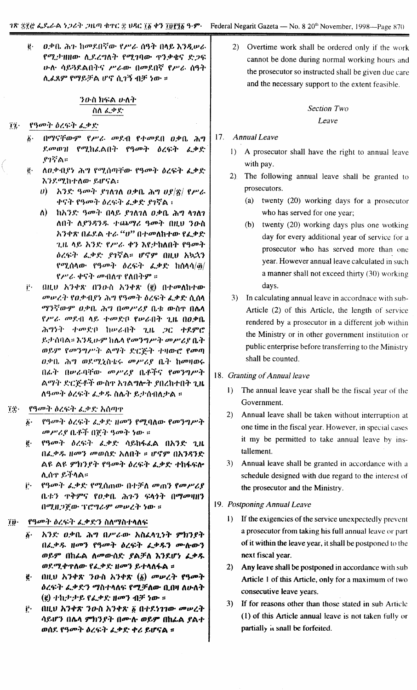ዐቃቤ ሕጉ ከመደበኛው የሥራ ሰዓት በላይ እንዲሠራ ġ. የሚታዝዘው ሲደረግለት የሚገባው ዋንቃቄና ድጋፍ ሁስ• ሳይጓደልበትና ሥራው በመደበኛ የሥራ ሰዓት ሊፈጸም የማይቻል ሆኖ ሲገኝ ብቻ ነው ።

# ንውስ ክፍል ውለት ስስ ፌቃድ

#### የዓመት ዕረፍት ፌቃድ  $74.$

- በማናቸውም የሥራ መደብ የተመደበ ዐቃቤ ሕግ  $\mathbf{A}$ . ደመወዝ የሚከፌልበት የዓመት ዕረፍት ፌቃድ የገኛል።
- ለዐቃብያነ ሕግ የሚሰጣቸው የዓመት ዕረፍት ፌቃድ  $\ddot{\mathbf{e}}\cdot$ እንደሚከተለው ይሆናል፡
	- ሀ) ፣ አንድ ዓመት ያገለገለ ዐቃቤ ሕግ ሀያ $|\vec{\mathcal{R}}|$  የሥራ ቀናት የዓመት ዕረፍት ፌቃድ ያገኛል ፡
	- ለ) ከአንድ ዓመት በላይ ያገለገለ ዐቃቤ ሕግ ላገለገ ለበት ሊየንዳንዱ ተጨማሪ ዓመት በዚህ ንዑስ አንቀጽ በፊደል ተራ "ሆ" በተመለከተው የፌቃድ ጊዜ ላይ አንድ የሥራ ቀን እየታከለበት የዓመት ዕረፍት ፈቃድ ያገኛል። ሆኖም በዚህ አኳኋን የሚሰላው የዓመት ዕረፍት ፌቃድ ከሰላሳ/፴/ የሥራ ቀናት መብለዋ የለበትም ።
- $\mathbf{i}$ .  $0$ ዚህ አንቀጽ በን $0$ ·ስ አንቀጽ (፪) በተመለከተው መሥረት የዐቃብያነ ሕግ የዓመት ዕረፍት ፌቃድ ሲሰላ *ማን*ኛውም *ዐ*ቃቤ ሕግ በመሥሪያ ቤቱ ውስጥ በሴሳ የሥራ መደብ ላይ ተመድበ የሠራበት ጊዜ በዐቃቤ ሕግነት ተመድቦ ከሠራበት ጊዜ ጋር ተደምሮ ይታሰባል። እንዲሁም ከሌላ የመንግሥት መሥሪያ ቤት ወይም የመንግሥት ልማት ድርጅት ተዛውሮ የመጣ 0.ቃቤ ሕግ ወደሚኒስቴሩ መሥሪያ ቤት ከመዛወሩ በፊት በሠራባቸው መሥሪያ ቤቶችና የመንግሥት ልማት ድርጅቶች ውስኖ አገልግሎት ያበረከተበት ጊዜ ለዓመት ዕረፍት ፌቃዱ ስሌት ይታሰብለታል ።
- $\mathbf{u}$ የዓመት ዕረፍት ፌቃድ አሰጣዋ
	- δ· የዓመት ዕረፍት ፌቃድ ዘመን የሚባለው የመንግሥት መሥሪያ ቤቶች በጀት ዓመት ነው ።
	- የዓመት ዕረፍት ፌቃድ ሳይከፋፌል በአንድ ጊዜ ë. በፌቃዱ ዘመን መወሰድ አለበት ፡፡ ሆኖም በአንዳንድ ልዩ ልዩ ምክንያት የዓመት ዕረፍት ፌቃድ ተከፋፍሎ ሊሰዋ ይችላል።
	- ij· የዓመት ፌቃድ የሚሰጠው በተቻለ መጠን የመሥሪያ ቤቱን ዋቅምና የዐቃቤ ሕጉን ፍላንት በማመዛዘን በሚዘጋጀው ፕሮግራም መሠረት ነው ።
- የዓመት ዕረፍት ፌቃድን ስለማስተላለፍ  $\tilde{l}$   $\tilde{p}$  .
	- ፩· አንድ ወቃቤ ሕግ በሥራው አስፌሳጊነት ምክንያት በፌቃዱ ዘመን የዓመት ዕረፍት ፌቃዱን ሙሉውን ወይም በከራል ለመውሰድ ያልቻለ እንደሆነ ፈቃዱ ወደሚቀጥለው የፌቃድ ዘመን ይተላለፋል ።
	- $\ddot{\mathbf{g}}$  (HLU አንቀጽ ንዑስ አንቀጽ  $(\vec{\mathbf{g}})$  መሥረት የዓመት ዕረፍት ፌቃድን ማስተላለፍ የሚቻለው ቢበዛ ለሁለት (g) ተከታታይ የፌቃድ ዘመን ብቻ ነው ።
	- በዚህ አንቀጽ ንውስ አንቀጽ ፩ በተደነገገው መሠረት ji. ሳይሆን በሌላ ምክንያት በሙሉ ወይም በከፊል ያልተ ወሰደ የዓመት ዕረፍት ፌቃድ ቀሪ ይሆናል ፡፡

 $(2)$ Overtime work shall be ordered only if the work cannot be done during normal working hours and the prosecutor so instructed shall be given due care and the necessary support to the extent feasible.

# **Section Two** Leave

### 17. Annual Leave

- 1) A prosecutor shall have the right to annual leave with pay.
- 2). The following annual leave shall be granted to prosecutors.
	- (a) twenty  $(20)$  working days for a prosecutor who has served for one year;
	- (b) twenty (20) working days plus one wotking day for every additional year of service for a prosecutor who has served more than one year. However annual leave calculated in such a manner shall not exceed thirty (30) working days.
- 3) In calculating annual leave in accordnace with sub-Article (2) of this Article, the length of service rendered by a prosecutor in a different job within the Ministry or in other government institution or public enterprise before transferring to the Ministry shall be counted.

### 18. Granting of Annual leave

- The annual leave year shall be the fiscal year of the  $1)$ Government.
- $2)$ Annual leave shall be taken without interruption at one time in the fiscal year. However, in special cases it my be permitted to take annual leave by installement.
- 3) Annual leave shall be granted in accordance with a schedule designed with due regard to the interest of the prosecutor and the Ministry.

### 19. Postponing Annual Leave

- 1) If the exigencies of the service unexpectedly prevent a prosecutor from taking his full annual leave or part of it within the leave year, it shall be postponed to the next fiscal year.
- 2) Any leave shall be postponed in accordance with sub Article 1 of this Article, only for a maximum of two consecutive leave years.
- 3) If for reasons other than those stated in sub Article (1) of this Article annual leave is not taken fully or partially it snall be forfeited.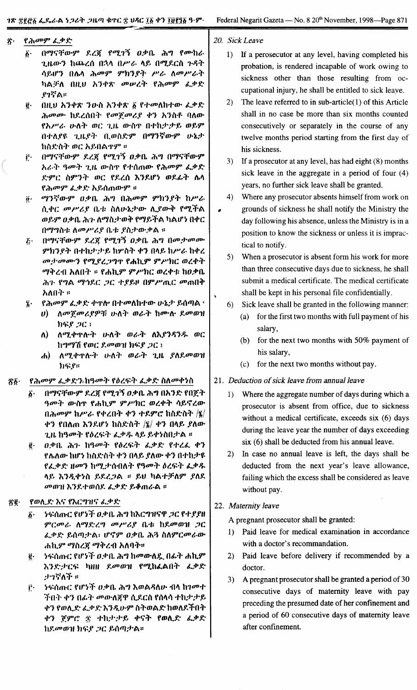#### የሕመም ፌቃድ ネ・

- በማናቸውም ደረጀ የሚገኝ ዐቃቤ ሕግ የሙከራ  $\boldsymbol{\hat{b}}$ . ጊዜውን ከጨረሰ በኋላ በሥራ ላይ በሚደርስ ጉዳት ሳይሆን በሴላ ሕመም ምክንያት ሥራ ለመሥራት ካልቻለ በዚህ አንቀጽ መሠረት የሕመም ፌቃድ የገኛል።
- በዚህ አንቀጽ ንውስ አንቀጽ ፩ የተመለከተው ፌቃድ  $\ddot{\mathbf{e}}\cdot$ ሕመሙ ከደረሰበት የመጀመሪያ ቀን አንስቶ ባለው የአሥራ ሁለት ወር ጊዜ ውስዋ በተከታታይ ወይም በተለያዩ ጊዜያት ቢወስድም በማንኛውም ሁኔታ ከስድስት ወር አይበልዋም ።
- በማናቸውም ደረጃ የሚገኝ ዐቃቤ ሕግ በማናቸውም  $\mathbf{r}$ . አራት ዓመት ጊዜ ውስጥ የተሰጠው የሕመም ፌቃድ ድምር ስምንት ወር የደረሰ እንደሆነ ወደፊት ሴላ የሕመም ፌቃድ አይሰጠውም ፡፡
- @· ማንኛውም ዐቃቤ ሕግ በሕመም ምክንያት ከሥራ ሲቀር መሥሪያ ቤቱ ስለሁኔታው ሊያውቅ የሚችል ወይም ዐቃቤ ሕጉ ለማስታወቅ የማይችል ካልሆነ በቀር በማግስቱ ለመሥሪያ ቤቱ ያስታውቃል ።
- በማናቸውም ደረጃ የሚገኝ ዐቃቤ ሕግ በመታመሙ  $\boldsymbol{\tilde{c}}$  . ምክንያት በተከታታይ ከሦስት ቀን በላይ ከሥራ ከቀረ መታወሙን የሚያረጋግኖ የሐኪም ምሥክር ወረቀት ማቅረብ አለበት ፡፡ የሐኪም ምሥክር ወረቀቱ ከዐቃቤ ሕጉ የግል ማኅዶር ጋር ተያይዞ በምሥጢር መጠበቅ አለበት ፡፡
- የሕመም ፌቃድ ቀዋሎ በተመለከተው ሁኔታ ይሰጣል ፣  $\ddot{\mathbf{z}}$ .
	- ሀ) ለመጀመሪያዎቹ ሁለት ወራት ከሙሉ ደመወዝ ክፍ*ያ ጋ*ር ፣
	- $\mathbf{v}$ ለሚቀጥሎት ሁለት ወራት ለእያንዳንዱ ወር ከግማሽ የወር ደመወዝ ክፍያ ጋር ፤
	- ሐ) ለሚቀጥሎት ሁለት ወራት ጊዜ ያለደመወዝ  $h$ ፍ $e$ ።
- የሕመም ፌቃድን ከዓመት የዕረፍት ፌቃድ ስለመቀነስ ፳፩·
	- በማናቸውም ደረጀ የሚገኝ ዐቃቤ ሕግ በአንድ የበጀት  $\hat{b}$  . ዓመት ውስጥ የሐኪም ምሥክር ወረቀት ሳይኖረው  $($ ነሕመም ከሥራ የቀረበት ቀን ተዶምሮ ከስድስት /፤ $/$ ቀን የበለጠ እንደሆነ ከስድስት  $|\bar{\mathbf{z}}|$  ቀን በላይ ያለው ጊዜ ከዓመት የዕረፍት ፌቃዱ ላይ ይቀነስበታል ።
	- ዐቃቤ ሕጉ ከዓመት የዕረፍት ፌቃድ የተረፌ ቀን @∙ የሌለው ከሆነ ከስድስት ቀን በላይ ያለው ቀን በተከታዩ የፌቃድ ዘመን ከሚታሰብለት የዓመት ዕረፍት ፌቃዱ ላይ እንዲቀንስ ይደረጋል ። ይህ ካልተቻለም ያለደ መወዝ እንደተወሰደ ፌቃድ ይቆጠራል ፡፡

#### Äğ∙ የወሊድ እና የእርግዝና ፌቃድ

- ንፍሰጡር የሆንች ዐቃቤ ሕግ ከእርግዝናዋ *ጋ*ር የተ*ያያ*ዘ δ٠ ምርመራ ለማድረግ መሥሪያ ቤቱ ከደመወዝ ጋር ፌቃድ ይሰጣታል፡ ሆኖም ዐቃቤ ሕጓ ስለምርመራው ሐኪም ማስረጀ ማቅረብ አለባት።
- ንፍሰጡር የሆንች ዐቃቤ ሕግ ከመውለዷ በፊት ሐኪም  $\ddot{\mathbf{g}}$ . እንድታርፍ ካዘዘ ደመወዝ የሚከፌልበት ፌቃድ ታኅኛለች ።
- ንፍሰጡር የሆንች *ዐ*.ቃቤ ሕግ እወልዳለሁ ብላ ከገመተ Ë۰ ችበት ቀን በፊት መውለጀዋ ሲደርስ የሰላሳ ተከታታይ ቀን የወሊድ ፌቃድ እንዲሁም ስትወልድ ከወለደችበት ቀን ጀምሮ ፰ ተከታታይ ቀናት የወሊድ ፌቃድ ከደመወዝ ክፍያ ጋር ይሰጣታል።

20. Sick Leave

- 1) If a perosecutor at any level, having completed his probation, is rendered incapable of work owing to sickness other than those resulting from occupational injury, he shall be entitled to sick leave.
- 2) The leave referred to in sub-article $(1)$  of this Article shall in no case be more than six months counted consecutively or separately in the course of any twelve months period starting from the first day of his sickness.
- 3) If a prosecutor at any level, has had eight (8) months sick leave in the aggregate in a period of four (4) years, no further sick leave shall be granted.
- $4)$ Where any prosecutor absents himself from work on grounds of sickness he shall notify the Ministry the ٠ day following his absence, unless the Ministry is in a position to know the sickness or unless it is impractical to notify.
	- 5) When a prosecutor is absent form his work for more than three consecutive days due to sickness, he shall submit a medical certificate. The medical certificate shall be kept in his personal file confidentially.
	- 6) Sick leave shall be granted in the following manner:
		- (a) for the first two months with full payment of his salary,
		- (b) for the next two months with 50% payment of his salary,
		- (c) for the next two months without pay.

# 21. Deduction of sick leave from annual leave

- 1) Where the aggregate number of days during which a prosecutor is absent from office, due to sickness without a medical certificate, exceeds six (6) days during the leave year the number of days exceeding six (6) shall be deducted from his annual leave.
- 2) In case no annual leave is left, the days shall be deducted from the next year's leave allowance, failing which the excess shall be considered as leave without pay.

# 22. Maternity leave

A pregnant prosecutor shall be granted:

- 1) Paid leave for medical examination in accordance with a doctor's recommandation.
- 2) Paid leave before delivery if recommended by a doctor.
- A pregnant prosecutor shall be granted a period of 30  $3)$ consecutive days of maternity leave with pay preceding the presumed date of her confinement and a period of 60 consecutive days of maternity leave after confinement.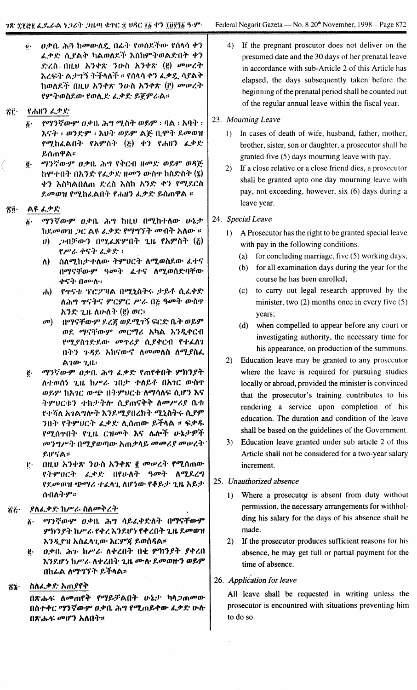$\ddot{\theta}$ .  $0$ .ቃ $0.~\lambda$ ፡ን ከመውለዴ በፌት የወሰዶችው የሰላሳ ቀን ፈቃድ ሲደልቅ ካልወለደች እስከምትወልድበት ቀን J':I.(), fHlU ~'}"'?t. *,}lJ-()* ~'}.,.~ (~) *ODlPl.:"* ~I.(t:,} A:"1:~ '}':;'''/\1' II f(t"".,.'} *&.:J>X-..*"JJA:" hIJJ/\f.:'Y- nllU ~'}"'?t. *'}O-()* ~'}.,.~ (r.) *ODlPl.''''* f9u'}lJJ()f.(I)' flJJt\.Y.: &.:1>Y.: *~"l.9"* /..A:;

#### $\mathcal{S}$ r. f *ehll,} ~.:P* f:

- $\tilde{\rho}$ · *የማንኛውም ዐቃ*ቤ ሕግ ሚስት ወይም ፡ ባል ፡ አባት ፡ *~ei:"* I lJJ,}J~:9u I ~U'} lJJf,9° *A"f:* n.qu:" *f.ODtD1/* flP/.h&.AfH' f~9°()'} (?;) .,.'} f *e""'} &.:J>f:*  $&$ ሳጠዋል።
- $E = \sqrt{q^2/\zeta} \omega \cdot \frac{g}{\omega} \frac{\partial \phi}{\partial \zeta}$  ,  $\lambda \gamma$   $\gamma \partial \zeta$   $\eta$  and  $\eta \partial \zeta$   $\zeta$   $\zeta$ hሞተበት በአንድ የፌቃድ ዘመን ውስዋ ከስድስት (፮) <u>ቀን እስካልበለጠ ድረስ እስከ አንድ ቀን የሚደርስ</u> *Y.ODllJ11*flP/.ht.AfH' frhlf'} *&.:J>f.'f,(tmlf'A* ::

### <u>ኛው ልዩ ፌቃድ</u>

- *ሚንኛውም ዐቃቤ ሕግ ከዚህ በሚከተለው ሁኔታ* ከደ*መ*ወዝ *ጋ*ር ልዩ ፌቃድ የማግኘት መብት አለው ፡፡ *(i.*
	- *0) : ጋብቻውን በሚፌ*ጽምበት ጊዜ የአምስት (፩) f".. I.. *"'C;,}. t.,cp* y.: I, ,
	- ለ) ሰለሚከታተለው ትምህርት ለሚወስደው *ፌ*ተና በማናቸው*ም ዓመት ልተና ለሚ*ወሰድባቸው *ቀናት በሙ***ሉ**።
	- $(h)$  f  $f$  f'f' f'f')''  $f \wedge f$   $f \wedge f' \wedge f'$  ( $f \wedge f' \wedge f' \wedge f''$ ) */\",°1* '},c,-.~.ei 9°C9uC *P'/'.* n?; qOD:" lD-()'}' *እን*ድ ጊዜ ለሁለት (፪) ወር፣
	- *o*¤) በማናቸውም ደረጀ ወደሚገኝ ፍርድ ቤት ወይም *ወደ. ማናቸውም መርማሪ አ*ካል እንዲቀርብ የሚያስገድደው *መ*ዋሪያ ሲያቀርብ የተፈለገ በትን ጉዳይ አከናውኖ ለ*መመ*ለስ ለሚያስፈ A *1CD'* '1.11.:
- *ሚ*ንኛውም *ዐ*ቃቤ ሕግ ፌቃድ የጠየቀበት ምክንያት ለተወሰን ጊዜ ከሥራ *ገ*በታ ተለይቶ በአገር ውስዋ lIJ'Wu h~1C (I).6f!' n'}9uUC1:'/\0I/1}/\rt: *(t.rf')* ~C; ትምሀርቱን ተከታትሎ ሲደጠናቅቅ ለ*መሥሪ*ያ ቤቱ f'f.1i/\ *i"1Aol/\":"* ~'}f.D'/..fnl.h:" *OIJ.~():"?-* (&..f~ '}n:,' f'~'9uUC'} t..cj>y.: *t\.(tmCD'* ~"f"A I: *~:J>~* flP/.(t'}'fH' f'l.ll. C'IIOD:" ~C; /\,/\.."f *v-kJ'jP"f መ'}ግሥት በሚያወጣው እጠቃላይ መመሪያ መሠረት f,wc,'A::*  $\ddot{\textbf{e}}$  .
- nllU ~'}"'?t. *'}lJ.() h'}"'?t.* I *OD'PI.:"* fOlJ.(tmlDf''''9''UC'~' t.,cj>,f: nfo-/\'''' qOD:" */\D'/.f.1.'1* f,f,rJPlIJ1f *6f!'0IJt.* 'f.tA'1. /\lf~CD' f,y,f,:'- "l.IL *hf,:r*  $($ ሳብለትም። t.

#### $\ddot{\wedge}\ddot{\pmb{\epsilon}}$ . .ያለፌቃድ ከሥራ ስለ*መቅረት*

- $\delta$ <sup>.</sup> ማንኛውም ዐቃቤ ሕግ ሳይፈቀድለት በማናቸውም ምክንያት ከሥራ የቀረ እንደሆነ የቀረበት ጊዜ ደመወዝ ~'},a;..f1f h()tA'I.(I)' ~C~" *f,lD(t~A::*
- <u>፪· ወ</u>ቃቤ ሕን ከሥራ ለቀረበት በቂ ምክንያት ያቀረበ እንደሆነ ከሥራ ለቀረበት ጊዜ **ሙሉ ደመወ**ዙን ወይ**ም** nht.A */\0I/'1''j* ,}. *f,:'Y'I\A::*

### ?J?;' *()/\t..cJ>*,f.: hm.ff:"

n~(h.(': /\(/Pmf:" *fOlIf,:FAfH' v-);:,.* il";JmODCD-በስተቀር *ማን*ኛውም ዐቃቤ ሕግ የሚጠይቀው ፌቃድ ሁስ በጽሑፍ *መ*ሆን አለበት፡፡

4) If the pregnant proscutor does not deliver on the presumed date and the 30 days of her prenatal leave in accordance with sub-Article 2 of this Article has elapsed, the days subsequently taken before the beginning of the prenatal period shall be counted out of the regular annual leave within the fiscal year,

# 23. *Mourning Leave*

- I) In cases of death of wife, husband, father, mother, brother, sister, son or daughter, a prosecutor shall be granted five (5) days mourning leave with pay.
- 2) If a close relative or a close friend dies, a prosecutor shall be granted upto one day mourning leave with pay, not exceeding, however, six (6) days during a leave year.

# 24. *Special Leave*

- $I$ ) A Prosecutor has the right to be granted special leave with pay in the following conditions.
	- (a) for concluding marriage, five (5) working days;
	- (b) for all examination days during the year for the course he has been enrolled;
	- (c) to carry out legal research approved by the minister, two  $(2)$  months once in every five  $(5)$ years;
	- (d) when compelled to appear before any court or investigating authority, the necessary time for his appearance, on production of the summons.
- 2) Education leave may be granted to any prosecutor where the leave is required for pursuing studies locally or abroad, provided the minister is convinced that the prosecutor's training contributes to his rendering a service upon completion of his education. The duration and condition of the leave shall be based on the guidelines of the Government.
- 3) Education leave granted under sub article 2 of this Article shall not be considered for a two-year salary increment.

# 25. *Unauthorized absence*

- I) Where a prosecutor is absent from duty without permission, the necessary arrangements for withholding his salary for the days of his absence shall be made.
- 2) If the prosecutor produces sufficient reasons for his absence, he may get full or partial payment for the time of absence.

# 26. *Application for leave*

All leave shall be requested in writing unless the prosecutor is encountred with situations preventing him to do so.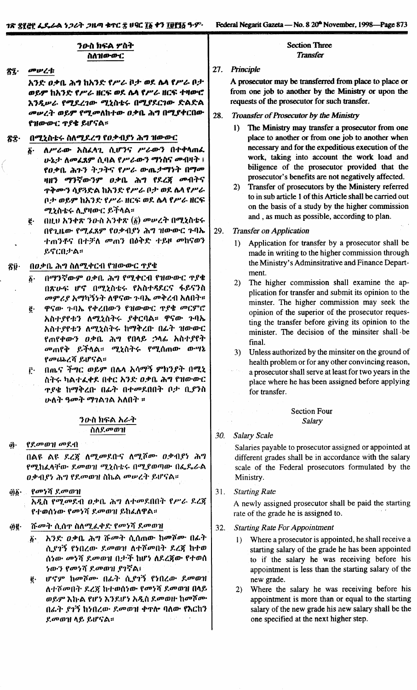### ንዑስ ክፍል ዎስት ስለዝውውር

መሥረቱ zî·

> አንድ ዐቃቤ ሕኅ ከአንድ የሥራ ቦታ ወደ ሴላ የሥራ ቦታ ወይም ከአንድ የሥራ ዘርፍ ወደ ሴላ የሥራ ዘርፍ ተዛውሮ እንዲሥራ የሚደረገው ሚኒስቴሩ በሚያደርገው ድልድል መሥረት ወይም የሚመለከተው ዐቃቤ ሕግ በሚያቀርበው የዝውውር ተያቄ ይሆናል።

#### በሚኒስቴሩ ስለሚደረግ የዐቃብያነ ሕግ ዝውውር 省全·

- ለሥራው አስፈላጊ ሲሆንና ሥራውን በተቀላጠፌ б. ሁኔታ ለመሬጸም ሲባል የሥራውን ማነስና መብዛት ፣ የዐቃቤ ሕጉን ትጋትና የሥራ ውጤታማነት በማመ ዛዘን ማንኛውንም ዐቃቤ ሕግ የደረጀ መብትና **ዋቅሙን ሳያጓድል ከአንድ የሥራ ቦታ ወደ ሴሳ የሥራ** ቦታ ወይም ከአንድ የሥራ ዘርፍ ወደ ሴላ የሥራ ዘርፍ ሚኒስቴሩ ሊያዛውር ይችላል።
- በዚህ አንቀጽ ንዑስ አንቀጽ (፩) መሠረት በሚኒስቴሩ ë. በየጊዜው የሚፈጸም የዐቃብያነ ሕግ ዝውውር ጉባኤ ተጠንቶና በተቻለ መጠን በዕቅድ ተይዞ መከናወን ይኖርበታል።

#### በዐቃቤ ሕግ ስለሚቀርብ የዝውውር ዋያቄ ₹ŷ·

- በማንኛውም ዐቃቤ ሕግ የሚቀርብ የዝውውር ጥያቄ  $\boldsymbol{\hat{b}}$ . በጽሁፍ ሆኖ በሚኒስቴሩ የአስተዳደርና ፋይናንስ መምሪያ አማካኝንት ለዋናው ጉባኤ መቅረብ አለበት።
- ዋናው ጉባኤ የቀረበውን የዝውውር ዋያቄ መርምሮ  $\ddot{\mathbf{g}}$ . አስተያየቱን ለሚኒስትሩ ያቀርባል። ዋናው ጉባኤ አስተያየቱን ለሚኒስትሩ ከማቅረበ በፊት ዝውውር የጠየቀውን ዐቃቤ ሕግ የበላይ ኃላፊ አስተያየት *መ*ጠየቅ ይችላል። ሚኒስትሩ የሚሰጠው ውሣኔ የመጨረሻ ይሆናል።
- በጨና ችግር ወይም በሌላ አሳማኝ ምክንያት በሚኒ  $\mathbf{r}$ ስትሩ ካልተፈቀደ በቀር አንድ ዐቃቤ ሕግ የዝውውር **ዋያቄ ከማቅረቡ በፊት በተመደበበት ቦታ ቢያንስ** ሁለት ዓመት ማገልገል አለበት ፡፡

# ንውስ ክፍል አራት ስለደ*መ*ወገ!

የደመወገ! መደብ â.

> በልዩ ልዩ ደረጀ ለሚመደቡና ለሚሾሙ ዐቃብያነ ሕግ የሚከፈላቸው ደመወዝ ሚኒስቴሩ በሚያወጣው በፌዶራል ዐቃብያነ ሕግ የደመወዝ ስኬል መሠረት ይሆናል።

የመነሻ ደመወዝ ผู้§ื∙

> አዲስ የሚመደብ ዐቃቤ ሕግ ለተመደበበት የሥራ ደረጃ የተወሰነው የመነሻ ደመወዝ ይከፈለዋል።

- ሹመት ሲሰዋ ስለሚፈቀድ የመነሻ ደመወዝ ae∙
	- አንድ ወቃቤ ሕግ ሹመት ሲሰጠው ከመሾሙ በፊት  $6 -$ ሲያገኝ የነበረው ደመወዝ ለተሾመበት ደረጃ ከተወ ሰነው መነሻ ደመወዝ በታች ከሆነ ለደረጃው የተወሰ *ነውን የመነሻ ደመ*ወዝ ያገኛል፣
	- ሆኖም ከመሾሙ በፊት ሲያገኝ የነበረው ደመወዝ ë. ለተሾመበት ደረጃ ከተወሰነው የመነሻ ደመወዝ በላይ ወይም እኩል የሆነ እንደሆነ አዲስ ደመወዙ ከመሾሙ በራት ያገኝ ከነበረው ደመወዝ ቀዋሎ ባለው የእርከን ደመወዝ ላይ ይሆናል።

### **Section Three Transfer**

### 27. Principle

A prosecutor may be transferred from place to place or from one job to another by the Ministry or upon the requests of the prosecutor for such transfer.

- 28. Troansfer of Prosecutor by the Ministry
	- The Ministry may transfer a prosecutor from one  $\mathbf{D}$ place to another or from one job to another when necessary and for the expeditious execution of the work, taking into account the work load and biligence of the prosecutor provided that the prosecutor's benefits are not negatively affected.
	- Transfer of prosecutors by the Ministery referred  $2)$ to in sub article 1 of this Article shall be carried out on the basis of a study by the higher commission and, as much as possible, according to plan.

#### 29. **Transfer on Application**

- Application for transfer by a prosecutor shall be  $1$ made in writing to the higher commission through the Ministry's Adminsitrative and Finance Department.
- The higher commission shall examine the ap- $(2)$ plication for transfer and submit its opinion to the minster. The higher commission may seek the opinion of the superior of the prosecutor requesting the transfer before giving its opinion to the minister. The decision of the minsiter shall be final.
- Unless authorized by the minsiter on the ground of  $3)$ health problem or for any other convincing reason,
- a prosecutor shall serve at least for two years in the place where he has been assigned before applying for transfer.

### **Section Four** Salary

#### $30.$ **Salary Scale**

Salaries payable to prosecutor assigned or appointed at different grades shall be in accordance with the salary scale of the Federal prosecutors formulated by the Ministry.

31. **Starting Rate** 

> A newly assigned prosecutor shall be paid the starting rate of the grade he is assigned to.

- 32. **Starting Rate For Appointment** 
	- 1) Where a prosecutor is appointed, he shall receive a starting salary of the grade he has been appointed to if the salary he was receiving before his appointment is less than the starting salary of the new grade.
	- $2)$ Where the salary he was receiving before his appointment is more than or equal to the starting salary of the new grade his new salary shall be the one specified at the next higher step.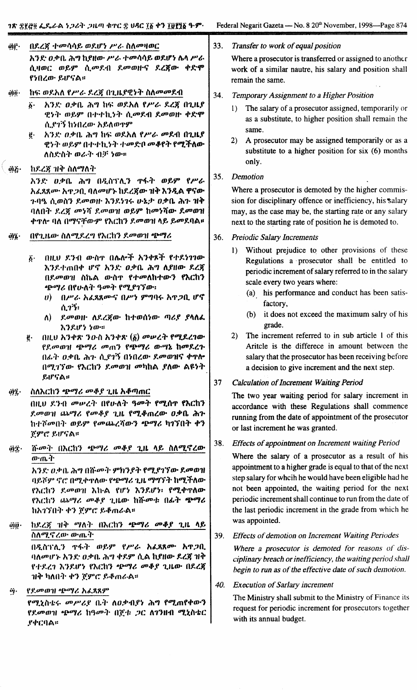በደረጀ ተመሳሳይ ወደሆነ ሥራ ስለመዛወር ທີ່**f** 

አንድ ዐቃቤ ሕግ ከየዘው ሥራ ተመሳሳይ ወደሆነ ሴላ ሥራ ሲዛወር ወይም ሲመደብ ደመወዙና ደረጀው ቀድሞ የነበረው ይሆናል።

- üΰ· ከፍ ወደአለ የሥራ ደረጃ በጊዜያዊነት ስለመመደብ
	- አንድ ዕቃቤ ሕግ ከፍ ወደአለ የሥራ ዶረጀ በጊዜያ Ö٠ ዊነት ወይም በተተኪነት ሲመደብ ደመወዙ ቀድሞ ሲ.የገኝ ከነበረው አይለወተም
	- አንድ ዕቃቤ ሕግ ከፍ ወደአለ የሥራ መደብ በጊዜያ ġ. ዊነት ወይም በተተኪነት ተመድቦ መቆየት የሚችለው ለስደነስት ወራት ብቻ ነው።
- äë. ከደረጃ ዝቅ ስለማለት

አንድ ወቃቤ ሕግ በዲስፕሊን ዋፋት ወይም የሥራ አፈጸጸሙ አዋጋቢ ባለመሆኑ ከደረጀው ዝቅ እንዲል ዋናው ጉባዔ ሲወስን ደመወዙ እንደነገሩ ሁኔታ ዐቃቤ ሕጉ ዝቅ ባለበት ደረጀ መነሻ ደመወዝ ወይም ከመነሻው ደመወዝ **ቀ**ዋሎ ባለ በማናቸውም የእርከን ደመወዝ ላይ ይመደባል።

- በየጊዜው ስለሚደረግ የእርከን ደመወገ! ጭማሪ  $\ddot{\bm{q}}\bm{i}$ 
	- በዚህ ደንብ ውስኖ በሌሎች አንቀጾች የተደነገገው  $\boldsymbol{\delta}$ . እንደተጠበቀ ሆኖ አንድ ዐቃቤ ሕግ ለያዘው ደረጃ በደመወዝ ስኬል ውስጥ የተመለከተውን የእርከን ጭማሪ በየሁለት ዓመት የሚያገኘው፡፡
		- $\boldsymbol{\theta}$ በሥራ አፌጸጸሙና በሥነ ምግባሩ እጥጋቢ ሆኖ ሲገኝ፡
		- $\Lambda$ ) \_ደመወዘ· ለደረጀው ከተወሰነው ጣሪያ ያሳሰፌ እንደሆነ ነው።
	- በዚህ አንቀጽ ንዑስ አንቀጽ (፩) መሥረት የሚደረገው ĝ. የደመወዝ ጭማሪ መጠን የጭማሪ ውሣኔ ከመደረጉ በራት ዐቃቤ ሕጉ ሲያገኝ በነበረው ደመወዝና ቀጥሎ በሚገኘው የእርከን ደመወዝ መካከል ያለው ልዩነት ይሆናል።

öη. ስለእርከን ጭማሪ መቆያ ጊዜ አቆጣጠር

> በዚህ ደንብ መሠረት በየሁለት ዓመት የሚሰዋ የእርከን ደመወገ! ጨማሪ የመቆደ ጊዜ የሚቆጠረው ዐቃቤ ሕጉ ከተሾመበት ወይም የመጨረሻውን ጭማሪ ካገኘበት ቀን ጀምሮ ይሆናል።

ሹመት በእርከን ጭማሪ መቆያ ጊዜ ላይ ስለሚኖረው ώς. ውጤት አንድ ዐቃቤ ሕግ በሹመት ምክንያት የሚያገኘው ደመወዝ

ባይሾም ኖሮ በሚቀጥለው የጭማሪ ጊዜ ማግኘት ከሚችለው የእርከን ደመወዝ እኩል የሆነ እንደሆነ፡ የሚቀዋለው የእርከን ጨማሪ መቆያ ጊዜው ከሹመቱ በፊት ጭማሪ ከአገኘበት ቀን ጀምሮ ይቆጠራል።

- @ij∙ ከደረጃ ዝቅ ማለት በእርከን ጭማሪ መቆያ ጊዜ ላይ ስለሚኖረው ውጤት በዲስፕሊን ዋፋት ወይም የሥራ አፊጸጸሙ አዋጋቢ ባለመሆኑ አንድ ዐቃቤ ሕግ ቀደም ሲል ኪየዘው ደረጃ ዝቅ የተደረገ እንደሆነ የእርከን ጭማሪ መቆያ ጊዜው በደረጃ ገାቅ ካለበት ቀን ጀምሮ ይቆጠራል።
- የደመወገዞ ጭማሪ አፊጸጸም ΰj.

የሚኒስቴሩ መሥሪያ ቤት ለዐቃብያነ ሕግ የሚጠየቀውን የደመወገዘ ጭማሪ ከዓመት በጀቱ ጋር ለገንዘብ ሚኒስቴር **ያ**ቀርባል።

#### 33. Transfer to work of equal position

Where a prosecutor is transferred or assigned to another work of a similar nautre, his salary and position shall remain the same.

- 34. Temporary Assignment to a Higher Position
	- $\mathbf{D}$ The salary of a prosecutor assigned, temporarily or as a substitute, to higher position shall remain the same.
	- A prosecutor may be assigned temporarily or as a  $2)$ substitute to a higher position for six  $(6)$  months only.
- $35.$ Demotion

Where a prosecutor is demoted by the higher commission for disciplinary offence or inefficiency, his salary may, as the case may be, the starting rate or any salary next to the starting rate of position he is demoted to.

- **Preiodic Salary Increments**  $36.$ 
	- 1) Without prejudice to other provisions of these Regulations a prosecutor shall be entitled to periodic increment of salary referred to in the salary scale every two years where:
		- (a) his performance and conduct has been satisfactory,
		- (b) it does not exceed the maximum salry of his grade.
	- 2) The increment referred to in sub article 1 of this Aritcle is the differece in amount between the salary that the prosecutor has been receiving before a decision to give increment and the next step.

#### 37 **Calculation of Increment Waiting Period**

The two year waiting period for salary increment in accordance with these Regulations shall commence running from the date of appointment of the prosecutor or last increment he was granted.

#### Effects of appointment on Increment waiting Period 38.

Where the salary of a prosecutor as a result of his appointment to a higher grade is equal to that of the next step salary for whoih he would have been eligible had he not been appointed, the waiting period for the next periodic increment shall continue to run from the date of the last periodic increment in the grade from which he was appointed.

39. **Effects of demotion on Increment Waiting Periodes** 

Where a prosecutor is demoted for reasons of disciplinary breach or inefficiency, the waiting period shall begin to run as of the effective date of such demotion.

#### 40. **Execution of Sarlary increment**

The Ministry shall submit to the Ministry of Finance its request for periodic increment for prosecutors together with its annual budget.